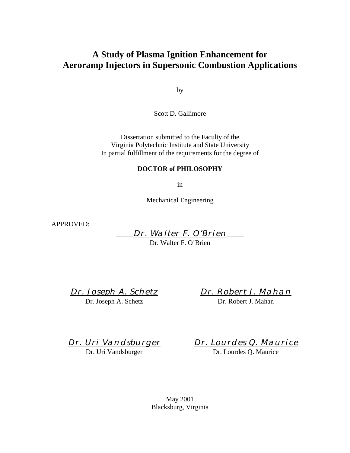# **A Study of Plasma Ignition Enhancement for Aeroramp Injectors in Supersonic Combustion Applications**

by

Scott D. Gallimore

Dissertation submitted to the Faculty of the Virginia Polytechnic Institute and State University In partial fulfillment of the requirements for the degree of

### **DOCTOR of PHILOSOPHY**

in

Mechanical Engineering

APPROVED:

Dr. Walter F. O'Brien

Dr. Walter F. O'Brien

Dr. Joseph A. Schetz Dr. Joseph A. Schetz

Dr. Robert J. Mahan Dr. Robert J. Mahan

Dr. Uri Vandsburger

Dr. Uri Vandsburger

Dr. Lourdes Q. Maurice

Dr. Lourdes Q. Maurice

May 2001 Blacksburg, Virginia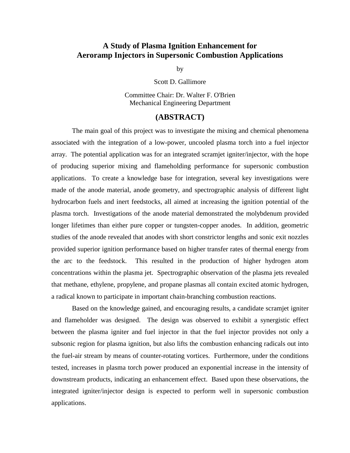# **A Study of Plasma Ignition Enhancement for Aeroramp Injectors in Supersonic Combustion Applications**

by

Scott D. Gallimore

Committee Chair: Dr. Walter F. O'Brien Mechanical Engineering Department

### **(ABSTRACT)**

 The main goal of this project was to investigate the mixing and chemical phenomena associated with the integration of a low-power, uncooled plasma torch into a fuel injector array. The potential application was for an integrated scramjet igniter/injector, with the hope of producing superior mixing and flameholding performance for supersonic combustion applications. To create a knowledge base for integration, several key investigations were made of the anode material, anode geometry, and spectrographic analysis of different light hydrocarbon fuels and inert feedstocks, all aimed at increasing the ignition potential of the plasma torch. Investigations of the anode material demonstrated the molybdenum provided longer lifetimes than either pure copper or tungsten-copper anodes. In addition, geometric studies of the anode revealed that anodes with short constrictor lengths and sonic exit nozzles provided superior ignition performance based on higher transfer rates of thermal energy from the arc to the feedstock. This resulted in the production of higher hydrogen atom concentrations within the plasma jet. Spectrographic observation of the plasma jets revealed that methane, ethylene, propylene, and propane plasmas all contain excited atomic hydrogen, a radical known to participate in important chain-branching combustion reactions.

Based on the knowledge gained, and encouraging results, a candidate scramjet igniter and flameholder was designed. The design was observed to exhibit a synergistic effect between the plasma igniter and fuel injector in that the fuel injector provides not only a subsonic region for plasma ignition, but also lifts the combustion enhancing radicals out into the fuel-air stream by means of counter-rotating vortices. Furthermore, under the conditions tested, increases in plasma torch power produced an exponential increase in the intensity of downstream products, indicating an enhancement effect. Based upon these observations, the integrated igniter/injector design is expected to perform well in supersonic combustion applications.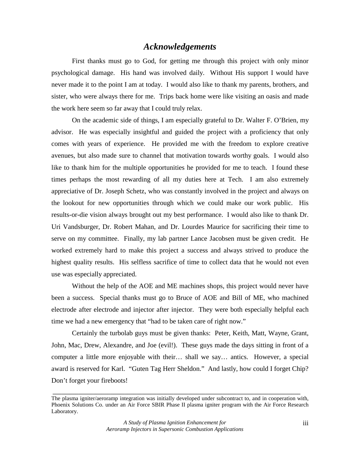# *Acknowledgements*

 First thanks must go to God, for getting me through this project with only minor psychological damage. His hand was involved daily. Without His support I would have never made it to the point I am at today. I would also like to thank my parents, brothers, and sister, who were always there for me. Trips back home were like visiting an oasis and made the work here seem so far away that I could truly relax.

 On the academic side of things, I am especially grateful to Dr. Walter F. O'Brien, my advisor. He was especially insightful and guided the project with a proficiency that only comes with years of experience. He provided me with the freedom to explore creative avenues, but also made sure to channel that motivation towards worthy goals. I would also like to thank him for the multiple opportunities he provided for me to teach. I found these times perhaps the most rewarding of all my duties here at Tech. I am also extremely appreciative of Dr. Joseph Schetz, who was constantly involved in the project and always on the lookout for new opportunities through which we could make our work public. His results-or-die vision always brought out my best performance. I would also like to thank Dr. Uri Vandsburger, Dr. Robert Mahan, and Dr. Lourdes Maurice for sacrificing their time to serve on my committee. Finally, my lab partner Lance Jacobsen must be given credit. He worked extremely hard to make this project a success and always strived to produce the highest quality results. His selfless sacrifice of time to collect data that he would not even use was especially appreciated.

 Without the help of the AOE and ME machines shops, this project would never have been a success. Special thanks must go to Bruce of AOE and Bill of ME, who machined electrode after electrode and injector after injector. They were both especially helpful each time we had a new emergency that "had to be taken care of right now."

 Certainly the turbolab guys must be given thanks: Peter, Keith, Matt, Wayne, Grant, John, Mac, Drew, Alexandre, and Joe (evil!). These guys made the days sitting in front of a computer a little more enjoyable with their… shall we say… antics. However, a special award is reserved for Karl. "Guten Tag Herr Sheldon." And lastly, how could I forget Chip? Don't forget your fireboots!

*\_\_\_\_\_\_\_\_\_\_\_\_\_\_\_\_\_\_\_\_\_\_\_\_\_\_\_\_\_\_\_\_\_\_\_\_\_\_\_\_\_\_\_\_\_\_\_\_\_\_\_\_\_\_\_\_\_\_\_\_\_\_\_\_\_\_\_\_\_\_\_\_\_\_\_\_\_\_\_\_\_\_\_\_\_\_* 

The plasma igniter/aeroramp integration was initially developed under subcontract to, and in cooperation with, Phoenix Solutions Co. under an Air Force SBIR Phase II plasma igniter program with the Air Force Research Laboratory.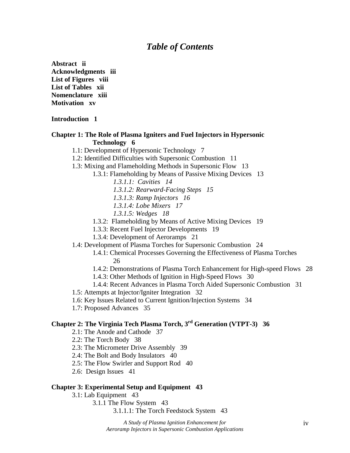# *Table of Contents*

**Abstract ii Acknowledgments iii List of Figures viii List of Tables xii Nomenclature xiii Motivation xv** 

#### **Introduction 1**

#### **Chapter 1: The Role of Plasma Igniters and Fuel Injectors in Hypersonic Technology 6**

- 1.1: Development of Hypersonic Technology 7
- 1.2: Identified Difficulties with Supersonic Combustion 11
- 1.3: Mixing and Flameholding Methods in Supersonic Flow 13
	- 1.3.1: Flameholding by Means of Passive Mixing Devices 13
		- *1.3.1.1: Cavities 14*
		- *1.3.1.2: Rearward-Facing Steps 15*
		- *1.3.1.3: Ramp Injectors 16*
		- *1.3.1.4: Lobe Mixers 17*
		- *1.3.1.5: Wedges 18*
		- 1.3.2: Flameholding by Means of Active Mixing Devices 19
		- 1.3.3: Recent Fuel Injector Developments 19
		- 1.3.4: Development of Aeroramps 21
- 1.4: Development of Plasma Torches for Supersonic Combustion 24
	- 1.4.1: Chemical Processes Governing the Effectiveness of Plasma Torches 26
	- 1.4.2: Demonstrations of Plasma Torch Enhancement for High-speed Flows 28
	- 1.4.3: Other Methods of Ignition in High-Speed Flows 30
	- 1.4.4: Recent Advances in Plasma Torch Aided Supersonic Combustion 31
- 1.5: Attempts at Injector/Igniter Integration 32
- 1.6: Key Issues Related to Current Ignition/Injection Systems 34
- 1.7: Proposed Advances 35

# **Chapter 2: The Virginia Tech Plasma Torch, 3rd Generation (VTPT-3) 36**

- 2.1: The Anode and Cathode 37
- 2.2: The Torch Body 38
- 2.3: The Micrometer Drive Assembly 39
- 2.4: The Bolt and Body Insulators 40
- 2.5: The Flow Swirler and Support Rod 40
- 2.6: Design Issues 41

#### **Chapter 3: Experimental Setup and Equipment 43**

3.1: Lab Equipment 43

3.1.1 The Flow System 43

3.1.1.1: The Torch Feedstock System 43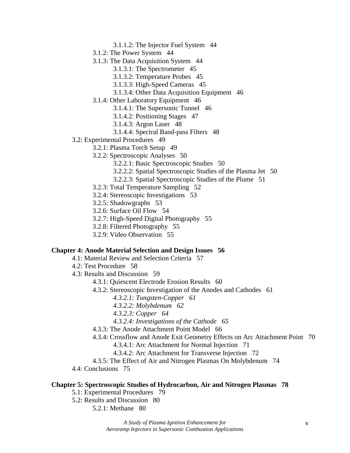- 3.1.1.2: The Injector Fuel System 44
- 3.1.2: The Power System 44
- 3.1.3: The Data Acquisition System 44
	- 3.1.3.1: The Spectrometer 45
	- 3.1.3.2: Temperature Probes 45
	- 3.1.3.3: High-Speed Cameras 45
	- 3.1.3.4: Other Data Acquisition Equipment 46
- 3.1.4: Other Laboratory Equipment 46
	- 3.1.4.1: The Supersonic Tunnel 46
	- 3.1.4.2: Positioning Stages 47
	- 3.1.4.3: Argon Laser 48
	- 3.1.4.4: Spectral Band-pass Filters 48
- 3.2: Experimental Procedures 49
	- 3.2.1: Plasma Torch Setup 49
	- 3.2.2: Spectroscopic Analyses 50
		- 3.2.2.1: Basic Spectroscopic Studies 50
		- 3.2.2.2: Spatial Spectroscopic Studies of the Plasma Jet 50
		- 3.2.2.3: Spatial Spectroscopic Studies of the Plume 51
	- 3.2.3: Total Temperature Sampling 52
	- 3.2.4: Stereoscopic Investigations 53
	- 3.2.5: Shadowgraphs 53
	- 3.2.6: Surface Oil Flow 54
	- 3.2.7: High-Speed Digital Photography 55
	- 3.2.8: Filtered Photography 55
	- 3.2.9: Video Observation 55

#### **Chapter 4: Anode Material Selection and Design Issues 56**

- 4.1: Material Review and Selection Criteria 57
- 4.2: Test Procedure 58
- 4.3: Results and Discussion 59
	- 4.3.1: Quiescent Electrode Erosion Results 60
	- 4.3.2: Stereoscopic Investigation of the Anodes and Cathodes 61
		- *4.3.2.1: Tungsten-Copper 61*
		- *4.3.2.2: Molybdenum 62*
		- *4.3.2.3: Copper 64*
		- *4.3.2.4: Investigations of the Cathode 65*
	- 4.3.3: The Anode Attachment Point Model 66
	- 4.3.4: Crossflow and Anode Exit Geometry Effects on Arc Attachment Point 70
		- 4.3.4.1: Arc Attachment for Normal Injection 71
		- 4.3.4.2: Arc Attachment for Transverse Injection 72
	- 4.3.5: The Effect of Air and Nitrogen Plasmas On Molybdenum 74

4.4: Conclusions 75

#### **Chapter 5: Spectroscopic Studies of Hydrocarbon, Air and Nitrogen Plasmas 78**

- 5.1: Experimental Procedures 79
- 5.2: Results and Discussion 80
	- 5.2.1: Methane 80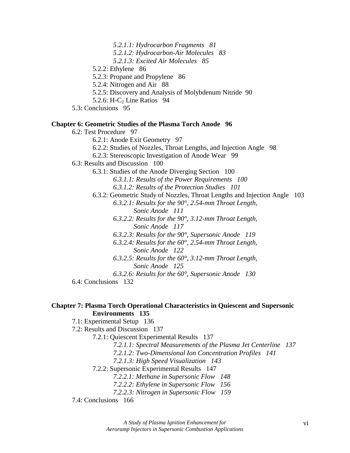- *5.2.1.1: Hydrocarbon Fragments 81*
- *5.2.1.2: Hydrocarbon-Air Molecules 83*
- *5.2.1.3: Excited Air Molecules 85*
- 5.2.2: Ethylene 86
- 5.2.3: Propane and Propylene 86
- 5.2.4: Nitrogen and Air 88
- 5.2.5: Discovery and Analysis of Molybdenum Nitride 90
- 5.2.6: H- $C_2$  Line Ratios 94
- 5.3: Conclusions 95

#### **Chapter 6: Geometric Studies of the Plasma Torch Anode 96**

6.2: Test Procedure 97 6.2.1: Anode Exit Geometry 97 6.2.2: Studies of Nozzles, Throat Lengths, and Injection Angle 98 6.2.3: Stereoscopic Investigation of Anode Wear 99 6.3: Results and Discussion 100 6.3.1: Studies of the Anode Diverging Section 100 *6.3.1.1: Results of the Power Requirements 100 6.3.1.2: Results of the Protection Studies 101* 6.3.2: Geometric Study of Nozzles, Throat Lengths and Injection Angle 103 *6.3.2.1: Results for the 90°, 2.54-mm Throat Length, Sonic Anode 111 6.3.2.2: Results for the 90°, 3.12-mm Throat Length, Sonic Anode 117 6.3.2.3: Results for the 90°, Supersonic Anode 119 6.3.2.4: Results for the 60°, 2.54-mm Throat Length, Sonic Anode 122 6.3.2.5: Results for the 60°, 3.12-mm Throat Length, Sonic Anode 125 6.3.2.6: Results for the 60°, Supersonic Anode 130* 6.4: Conclusions 132

#### **Chapter 7: Plasma Torch Operational Characteristics in Quiescent and Supersonic Environments 135**

7.1: Experimental Setup 136

7.2: Results and Discussion 137

7.2.1: Quiescent Experimental Results 137

*7.2.1.1: Spectral Measurements of the Plasma Jet Centerline 137* 

- *7.2.1.2: Two-Dimensional Ion Concentration Profiles 141*
- *7.2.1.3: High Speed Visualization 143*
- 7.2.2: Supersonic Experimental Results 147
	- *7.2.2.1: Methane in Supersonic Flow 148*
	- *7.2.2.2: Ethylene in Supersonic Flow 156*
	- *7.2.2.3: Nitrogen in Supersonic Flow 159*

7.4: Conclusions 166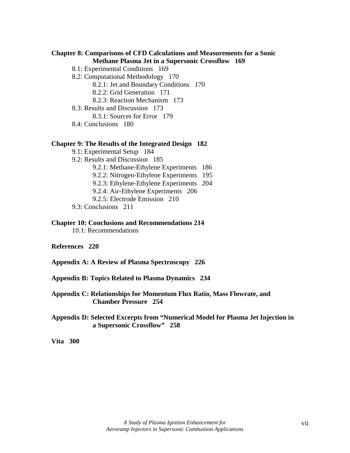## **Chapter 8: Comparisons of CFD Calculations and Measurements for a Sonic Methane Plasma Jet in a Supersonic Crossflow 169**

- 8.1: Experimental Conditions 169
- 8.2: Computational Methodology 170
	- 8.2.1: Jet and Boundary Conditions 170
	- 8.2.2: Grid Generation 171
	- 8.2.3: Reaction Mechanism 173
- 8.3: Results and Discussion 173
	- 8.3.1: Sources for Error 179
- 8.4: Conclusions 180

#### **Chapter 9: The Results of the Integrated Design 182**

- 9.1: Experimental Setup 184
- 9.2: Results and Discussion 185
	- 9.2.1: Methane-Ethylene Experiments 186
	- 9.2.2: Nitrogen-Ethylene Experiments 195
	- 9.2.3: Ethylene-Ethylene Experiments 204
	- 9.2.4: Air-Ethylene Experiments 206
	- 9.2.5: Electrode Emission 210
- 9.3: Conclusions 211

#### **Chapter 10: Conclusions and Recommendations 214**

- 10.1: Recommendations
- **References 220**
- **Appendix A: A Review of Plasma Spectroscopy 226**
- **Appendix B: Topics Related to Plasma Dynamics 234**
- **Appendix C: Relationships for Momentum Flux Ratio, Mass Flowrate, and Chamber Pressure 254**
- **Appendix D: Selected Excerpts from "Numerical Model for Plasma Jet Injection in a Supersonic Crossflow" 258**

**Vita 300**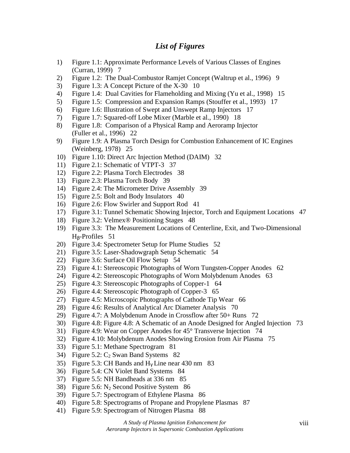# *List of Figures*

- 1) Figure 1.1: Approximate Performance Levels of Various Classes of Engines (Curran, 1999) 7
- 2) Figure 1.2: The Dual-Combustor Ramjet Concept (Waltrup et al., 1996) 9
- 3) Figure 1.3: A Concept Picture of the X-30 10
- 4) Figure 1.4: Dual Cavities for Flameholding and Mixing (Yu et al., 1998) 15
- 5) Figure 1.5: Compression and Expansion Ramps (Stouffer et al., 1993) 17
- 6) Figure 1.6: Illustration of Swept and Unswept Ramp Injectors 17
- 7) Figure 1.7: Squared-off Lobe Mixer (Marble et al., 1990) 18
- 8) Figure 1.8: Comparison of a Physical Ramp and Aeroramp Injector (Fuller et al., 1996) 22
- 9) Figure 1.9: A Plasma Torch Design for Combustion Enhancement of IC Engines (Weinberg, 1978) 25
- 10) Figure 1.10: Direct Arc Injection Method (DAIM) 32
- 11) Figure 2.1: Schematic of VTPT-3 37
- 12) Figure 2.2: Plasma Torch Electrodes 38
- 13) Figure 2.3: Plasma Torch Body 39
- 14) Figure 2.4: The Micrometer Drive Assembly 39
- 15) Figure 2.5: Bolt and Body Insulators 40
- 16) Figure 2.6: Flow Swirler and Support Rod 41
- 17) Figure 3.1: Tunnel Schematic Showing Injector, Torch and Equipment Locations 47
- 18) Figure 3.2: Velmex® Positioning Stages 48
- 19) Figure 3.3: The Measurement Locations of Centerline, Exit, and Two-Dimensional Hβ-Profiles 51
- 20) Figure 3.4: Spectrometer Setup for Plume Studies 52
- 21) Figure 3.5: Laser-Shadowgraph Setup Schematic 54
- 22) Figure 3.6: Surface Oil Flow Setup 54
- 23) Figure 4.1: Stereoscopic Photographs of Worn Tungsten-Copper Anodes 62
- 24) Figure 4.2: Stereoscopic Photographs of Worn Molybdenum Anodes 63
- 25) Figure 4.3: Stereoscopic Photographs of Copper-1 64
- 26) Figure 4.4: Stereoscopic Photograph of Copper-3 65
- 27) Figure 4.5: Microscopic Photographs of Cathode Tip Wear 66
- 28) Figure 4.6: Results of Analytical Arc Diameter Analysis 70
- 29) Figure 4.7: A Molybdenum Anode in Crossflow after 50+ Runs 72
- 30) Figure 4.8: Figure 4.8: A Schematic of an Anode Designed for Angled Injection 73
- 31) Figure 4.9: Wear on Copper Anodes for 45° Transverse Injection 74
- 32) Figure 4.10: Molybdenum Anodes Showing Erosion from Air Plasma 75
- 33) Figure 5.1: Methane Spectrogram 81
- 34) Figure 5.2:  $C_2$  Swan Band Systems 82
- 35) Figure 5.3: CH Bands and  $H_v$  Line near 430 nm 83
- 36) Figure 5.4: CN Violet Band Systems 84
- 37) Figure 5.5: NH Bandheads at 336 nm 85
- 38) Figure 5.6: N2 Second Positive System 86
- 39) Figure 5.7: Spectrogram of Ethylene Plasma 86
- 40) Figure 5.8: Spectrograms of Propane and Propylene Plasmas 87
- 41) Figure 5.9: Spectrogram of Nitrogen Plasma 88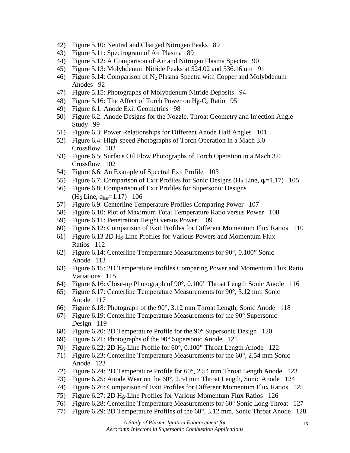- 42) Figure 5.10: Neutral and Charged Nitrogen Peaks 89
- 43) Figure 5.11: Spectrogram of Air Plasma 89
- 44) Figure 5.12: A Comparison of Air and Nitrogen Plasma Spectra 90
- 45) Figure 5.13: Molybdenum Nitride Peaks at 524.02 and 536.16 nm 91
- 46) Figure 5.14: Comparison of  $N_2$  Plasma Spectra with Copper and Molybdenum Anodes 92
- 47) Figure 5.15: Photographs of Molybdenum Nitride Deposits 94
- 48) Figure 5.16: The Affect of Torch Power on  $H_8-C_2$  Ratio 95
- 49) Figure 6.1: Anode Exit Geometries 98
- 50) Figure 6.2: Anode Designs for the Nozzle, Throat Geometry and Injection Angle Study 99
- 51) Figure 6.3: Power Relationships for Different Anode Half Angles 101
- 52) Figure 6.4: High-speed Photographs of Torch Operation in a Mach 3.0 Crossflow 102
- 53) Figure 6.5: Surface Oil Flow Photographs of Torch Operation in a Mach 3.0 Crossflow 102
- 54) Figure 6.6: An Example of Spectral Exit Profile 103
- 55) Figure 6.7: Comparison of Exit Profiles for Sonic Designs (H<sub>β</sub> Line,  $q_t=1.17$ ) 105
- 56) Figure 6.8: Comparison of Exit Profiles for Supersonic Designs  $(H<sub>β</sub> Line, q<sub>bar</sub>=1.17)$  106
- 57) Figure 6.9: Centerline Temperature Profiles Comparing Power 107
- 58) Figure 6.10: Plot of Maximum Total Temperature Ratio versus Power 108
- 59) Figure 6.11: Penetration Height versus Power 109
- 60) Figure 6.12: Comparison of Exit Profiles for Different Momentum Flux Ratios 110
- 61) Figure 6.13 2D H<sub>β</sub>-Line Profiles for Various Powers and Momentum Flux Ratios 112
- 62) Figure 6.14: Centerline Temperature Measurements for 90°, 0.100" Sonic Anode 113
- 63) Figure 6.15: 2D Temperature Profiles Comparing Power and Momentum Flux Ratio Variations 115
- 64) Figure 6.16: Close-up Photograph of 90°, 0.100" Throat Length Sonic Anode 116
- 65) Figure 6.17: Centerline Temperature Measurements for 90°, 3.12 mm Sonic Anode 117
- 66) Figure 6.18: Photograph of the 90°, 3.12 mm Throat Length, Sonic Anode 118
- 67) Figure 6.19: Centerline Temperature Measurements for the 90° Supersonic Design 119
- 68) Figure 6.20: 2D Temperature Profile for the 90° Supersonic Design 120
- 69) Figure 6.21: Photographs of the 90° Supersonic Anode 121
- 70) Figure 6.22: 2D H<sub> $\beta$ </sub>-Line Profile for 60 $\degree$ , 0.100" Throat Length Anode 122
- 71) Figure 6.23: Centerline Temperature Measurements for the 60°, 2.54 mm Sonic Anode 123
- 72) Figure 6.24: 2D Temperature Profile for 60°, 2.54 mm Throat Length Anode 123
- 73) Figure 6.25: Anode Wear on the 60°, 2.54 mm Throat Length, Sonic Anode 124
- 74) Figure 6.26: Comparison of Exit Profiles for Different Momentum Flux Ratios 125
- 75) Figure 6.27: 2D  $H_0$ -Line Profiles for Various Momentum Flux Ratios 126
- 76) Figure 6.28: Centerline Temperature Measurements for 60° Sonic Long Throat 127
- 77) Figure 6.29: 2D Temperature Profiles of the 60°, 3.12 mm, Sonic Throat Anode 128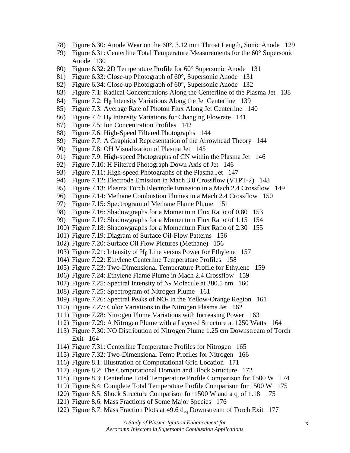- 78) Figure 6.30: Anode Wear on the 60°, 3.12 mm Throat Length, Sonic Anode 129
- 79) Figure 6.31: Centerline Total Temperature Measurements for the 60° Supersonic Anode 130
- 80) Figure 6.32: 2D Temperature Profile for 60° Supersonic Anode 131
- 81) Figure 6.33: Close-up Photograph of 60°, Supersonic Anode 131
- 82) Figure 6.34: Close-up Photograph of 60°, Supersonic Anode 132
- 83) Figure 7.1: Radical Concentrations Along the Centerline of the Plasma Jet 138
- 84) Figure 7.2: Hβ Intensity Variations Along the Jet Centerline 139
- 85) Figure 7.3: Average Rate of Photon Flux Along Jet Centerline 140
- 86) Figure 7.4: H<sub>β</sub> Intensity Variations for Changing Flowrate 141
- 87) Figure 7.5: Ion Concentration Profiles 142
- 88) Figure 7.6: High-Speed Filtered Photographs 144
- 89) Figure 7.7: A Graphical Representation of the Arrowhead Theory 144
- 90) Figure 7.8: OH Visualization of Plasma Jet 145
- 91) Figure 7.9: High-speed Photographs of CN within the Plasma Jet 146
- 92) Figure 7.10: H Filtered Photograph Down Axis of Jet 146
- 93) Figure 7.11: High-speed Photographs of the Plasma Jet 147
- 94) Figure 7.12: Electrode Emission in Mach 3.0 Crossflow (VTPT-2) 148
- 95) Figure 7.13: Plasma Torch Electrode Emission in a Mach 2.4 Crossflow 149
- 96) Figure 7.14: Methane Combustion Plumes in a Mach 2.4 Crossflow 150
- 97) Figure 7.15: Spectrogram of Methane Flame Plume 151
- 98) Figure 7.16: Shadowgraphs for a Momentum Flux Ratio of 0.80 153
- 99) Figure 7.17: Shadowgraphs for a Momentum Flux Ratio of 1.15 154
- 100) Figure 7.18: Shadowgraphs for a Momentum Flux Ratio of 2.30 155
- 101) Figure 7.19: Diagram of Surface Oil-Flow Patterns 156
- 102) Figure 7.20: Surface Oil Flow Pictures (Methane) 156
- 103) Figure 7.21: Intensity of Hβ Line versus Power for Ethylene 157
- 104) Figure 7.22: Ethylene Centerline Temperature Profiles 158
- 105) Figure 7.23: Two-Dimensional Temperature Profile for Ethylene 159
- 106) Figure 7.24: Ethylene Flame Plume in Mach 2.4 Crossflow 159
- 107) Figure 7.25: Spectral Intensity of  $N_2$  Molecule at 380.5 nm 160
- 108) Figure 7.25: Spectrogram of Nitrogen Plume 161
- 109) Figure 7.26: Spectral Peaks of  $NO<sub>2</sub>$  in the Yellow-Orange Region 161
- 110) Figure 7.27: Color Variations in the Nitrogen Plasma Jet 162
- 111) Figure 7.28: Nitrogen Plume Variations with Increasing Power 163
- 112) Figure 7.29: A Nitrogen Plume with a Layered Structure at 1250 Watts 164
- 113) Figure 7.30: NO Distribution of Nitrogen Plume 1.25 cm Downstream of Torch Exit 164
- 114) Figure 7.31: Centerline Temperature Profiles for Nitrogen 165
- 115) Figure 7.32: Two-Dimensional Temp Profiles for Nitrogen 166
- 116) Figure 8.1: Illustration of Computational Grid Location 171
- 117) Figure 8.2: The Computational Domain and Block Structure 172
- 118) Figure 8.3: Centerline Total Temperature Profile Comparison for 1500 W 174
- 119) Figure 8.4: Complete Total Temperature Profile Comparison for 1500 W 175
- 120) Figure 8.5: Shock Structure Comparison for 1500 W and a  $q_t$  of 1.18 175
- 121) Figure 8.6: Mass Fractions of Some Major Species 176
- 122) Figure 8.7: Mass Fraction Plots at 49.6  $d_{eq}$  Downstream of Torch Exit 177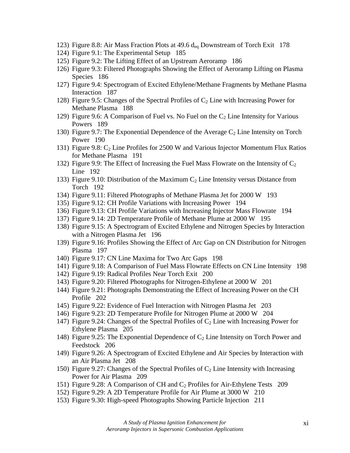- 123) Figure 8.8: Air Mass Fraction Plots at 49.6 deq Downstream of Torch Exit 178
- 124) Figure 9.1: The Experimental Setup 185
- 125) Figure 9.2: The Lifting Effect of an Upstream Aeroramp 186
- 126) Figure 9.3: Filtered Photographs Showing the Effect of Aeroramp Lifting on Plasma Species 186
- 127) Figure 9.4: Spectrogram of Excited Ethylene/Methane Fragments by Methane Plasma Interaction 187
- 128) Figure 9.5: Changes of the Spectral Profiles of  $C_2$  Line with Increasing Power for Methane Plasma 188
- 129) Figure 9.6: A Comparison of Fuel vs. No Fuel on the  $C_2$  Line Intensity for Various Powers 189
- 130) Figure 9.7: The Exponential Dependence of the Average  $C_2$  Line Intensity on Torch Power 190
- 131) Figure 9.8:  $C_2$  Line Profiles for 2500 W and Various Injector Momentum Flux Ratios for Methane Plasma 191
- 132) Figure 9.9: The Effect of Increasing the Fuel Mass Flowrate on the Intensity of  $C_2$ Line 192
- 133) Figure 9.10: Distribution of the Maximum  $C_2$  Line Intensity versus Distance from Torch 192
- 134) Figure 9.11: Filtered Photographs of Methane Plasma Jet for 2000 W 193
- 135) Figure 9.12: CH Profile Variations with Increasing Power 194
- 136) Figure 9.13: CH Profile Variations with Increasing Injector Mass Flowrate 194
- 137) Figure 9.14: 2D Temperature Profile of Methane Plume at 2000 W 195
- 138) Figure 9.15: A Spectrogram of Excited Ethylene and Nitrogen Species by Interaction with a Nitrogen Plasma Jet 196
- 139) Figure 9.16: Profiles Showing the Effect of Arc Gap on CN Distribution for Nitrogen Plasma 197
- 140) Figure 9.17: CN Line Maxima for Two Arc Gaps 198
- 141) Figure 9.18: A Comparison of Fuel Mass Flowrate Effects on CN Line Intensity 198
- 142) Figure 9.19: Radical Profiles Near Torch Exit 200
- 143) Figure 9.20: Filtered Photographs for Nitrogen-Ethylene at 2000 W 201
- 144) Figure 9.21: Photographs Demonstrating the Effect of Increasing Power on the CH Profile 202
- 145) Figure 9.22: Evidence of Fuel Interaction with Nitrogen Plasma Jet 203
- 146) Figure 9.23: 2D Temperature Profile for Nitrogen Plume at 2000 W 204
- 147) Figure 9.24: Changes of the Spectral Profiles of  $C_2$  Line with Increasing Power for Ethylene Plasma 205
- 148) Figure 9.25: The Exponential Dependence of  $C_2$  Line Intensity on Torch Power and Feedstock 206
- 149) Figure 9.26: A Spectrogram of Excited Ethylene and Air Species by Interaction with an Air Plasma Jet 208
- 150) Figure 9.27: Changes of the Spectral Profiles of  $C_2$  Line Intensity with Increasing Power for Air Plasma 209
- 151) Figure 9.28: A Comparison of CH and  $C_2$  Profiles for Air-Ethylene Tests 209
- 152) Figure 9.29: A 2D Temperature Profile for Air Plume at 3000 W 210
- 153) Figure 9.30: High-speed Photographs Showing Particle Injection 211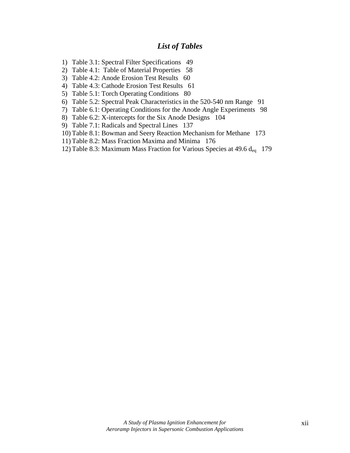# *List of Tables*

- 1) Table 3.1: Spectral Filter Specifications 49
- 2) Table 4.1: Table of Material Properties 58
- 3) Table 4.2: Anode Erosion Test Results 60
- 4) Table 4.3: Cathode Erosion Test Results 61
- 5) Table 5.1: Torch Operating Conditions 80
- 6) Table 5.2: Spectral Peak Characteristics in the 520-540 nm Range 91
- 7) Table 6.1: Operating Conditions for the Anode Angle Experiments 98
- 8) Table 6.2: X-intercepts for the Six Anode Designs 104
- 9) Table 7.1: Radicals and Spectral Lines 137
- 10) Table 8.1: Bowman and Seery Reaction Mechanism for Methane 173
- 11) Table 8.2: Mass Fraction Maxima and Minima 176
- 12) Table 8.3: Maximum Mass Fraction for Various Species at 49.6 deq 179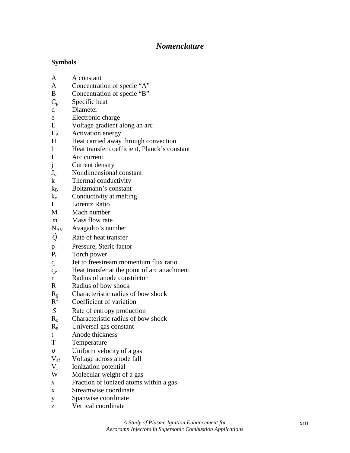# *Nomenclature*

## **Symbols**

- A A constant
- A Concentration of specie "A"
- B Concentration of specie "B"
- $C_p$  Specific heat
- d Diameter
- e Electronic charge
- E Voltage gradient along an arc
- $E_A$  Activation energy
- H Heat carried away through convection
- h Heat transfer coefficient, Planck's constant
- I Arc current
- j Current density
- J<sub>o</sub> Nondimensional constant
- k Thermal conductivity
- $k_B$  Boltzmann's constant
- $k_e$  Conductivity at melting
- L Lorentz Ratio
- M Mach number
- *m* Mass flow rate
- NAV Avagadro's number
- *Q*& Rate of heat transfer
- p Pressure, Steric factor
- $P_t$  Torch power
- q Jet to freestream momentum flux ratio
- qe Heat transfer at the point of arc attachment
- r Radius of anode constrictor
- R Radius of bow shock
- Characteristic radius of bow shock  $R_{\rm o}^{\rm o}$
- Coefficient of variation
- *S* Rate of entropy production
- $R<sub>o</sub>$  Characteristic radius of bow shock
- $R<sub>u</sub>$  Universal gas constant
- t Anode thickness
- T Temperature
- ν Uniform velocity of a gas
- Vaf Voltage across anode fall
- V<sub>i</sub> Ionization potential
- W Molecular weight of a gas
- *x* Fraction of ionized atoms within a gas
- x Streamwise coordinate
- y Spanwise coordinate
- z Vertical coordinate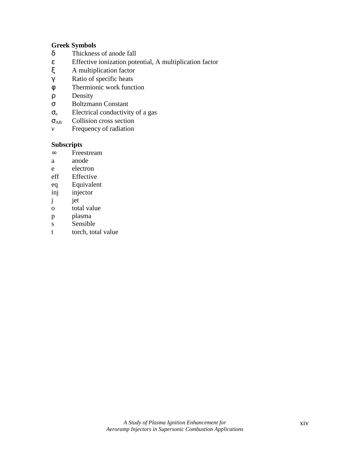## **Greek Symbols**

- δ Thickness of anode fall
- ε Effective ionization potential, A multiplication factor
- A multiplication factor
- γ Ratio of specific heats
- φ Thermionic work function
- ρ Density
- σ Boltzmann Constant
- $\sigma_e$  Electrical conductivity of a gas
- σAB Collision cross section
- *v* Frequency of radiation

## **Subscripts**

- ∞ Freestream
- a anode
- e electron
- eff Effective
- eq Equivalent
- inj injector
- j jet
- o total value
- p plasma
- s Sensible
- t torch, total value